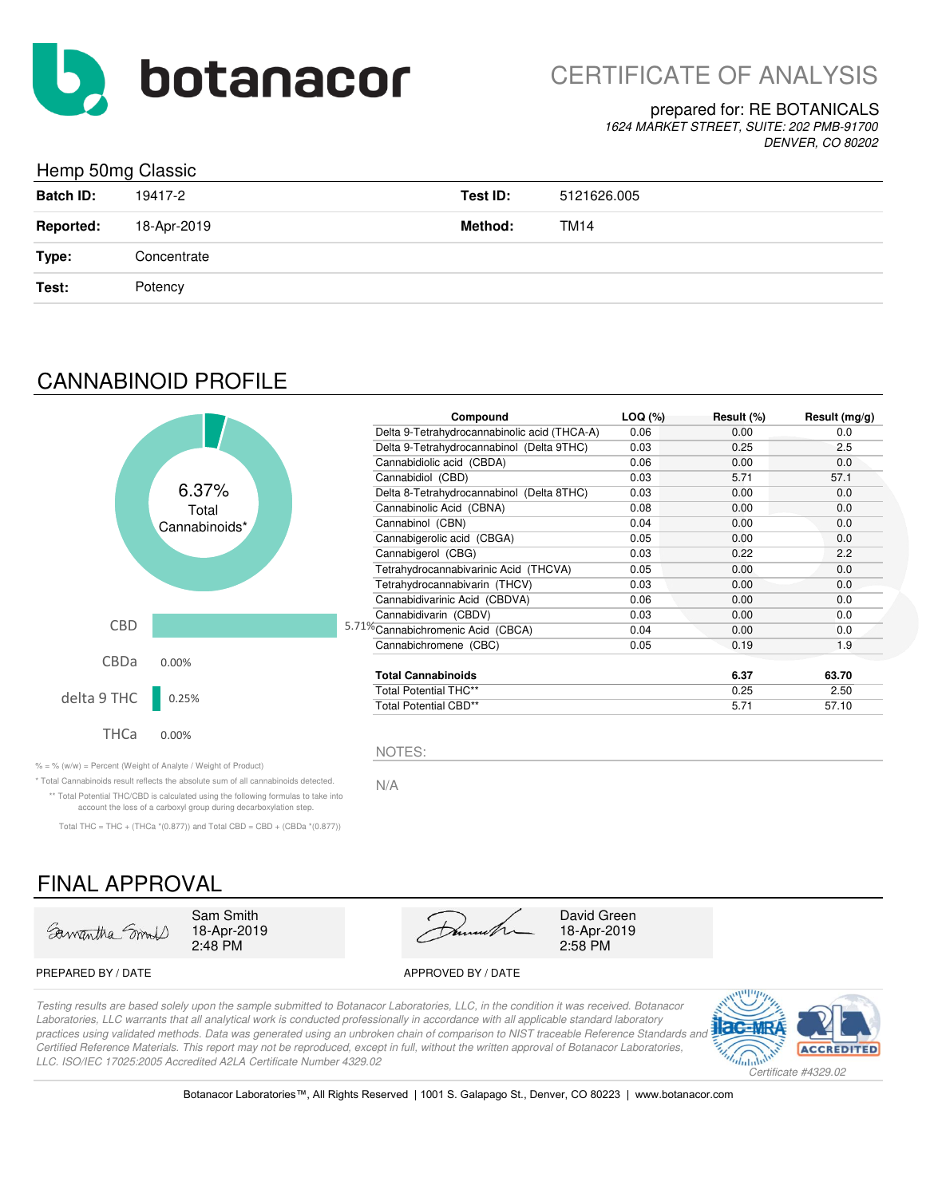

### prepared for: RE BOTANICALS

*1624 MARKET STREET, SUITE: 202 PMB-91700 DENVER, CO 80202*

### Hemp 50mg Classic

| ັ                |             |          |             |
|------------------|-------------|----------|-------------|
| <b>Batch ID:</b> | 19417-2     | Test ID: | 5121626.005 |
| <b>Reported:</b> | 18-Apr-2019 | Method:  | <b>TM14</b> |
| Type:            | Concentrate |          |             |
| Test:            | Potency     |          |             |

# CANNABINOID PROFILE



| Compound                                     | $LOQ (\%)$ | Result (%) | Result $(mg/g)$ |
|----------------------------------------------|------------|------------|-----------------|
| Delta 9-Tetrahydrocannabinolic acid (THCA-A) | 0.06       | 0.00       | 0.0             |
| Delta 9-Tetrahydrocannabinol (Delta 9THC)    | 0.03       | 0.25       | 2.5             |
| Cannabidiolic acid (CBDA)                    | 0.06       | 0.00       | 0.0             |
| Cannabidiol (CBD)                            | 0.03       | 5.71       | 57.1            |
| Delta 8-Tetrahydrocannabinol (Delta 8THC)    | 0.03       | 0.00       | 0.0             |
| Cannabinolic Acid (CBNA)                     | 0.08       | 0.00       | 0.0             |
| Cannabinol (CBN)                             | 0.04       | 0.00       | 0.0             |
| Cannabigerolic acid (CBGA)                   | 0.05       | 0.00       | 0.0             |
| Cannabigerol (CBG)                           | 0.03       | 0.22       | 2.2             |
| Tetrahydrocannabivarinic Acid (THCVA)        | 0.05       | 0.00       | 0.0             |
| Tetrahydrocannabivarin (THCV)                | 0.03       | 0.00       | 0.0             |
| Cannabidivarinic Acid (CBDVA)                | 0.06       | 0.00       | 0.0             |
| Cannabidivarin (CBDV)                        | 0.03       | 0.00       | 0.0             |
| 71% Cannabichromenic Acid (CBCA)             | 0.04       | 0.00       | 0.0             |
| Cannabichromene (CBC)                        | 0.05       | 0.19       | 1.9             |
| <b>Total Cannabinoids</b>                    |            | 6.37       | 63.70           |
| Total Potential THC**                        |            | 0.25       | 2.50            |
| Total Potential CBD**                        |            | 5.71       | 57.10           |

 $\% = \%$  (w/w) = Percent (Weight of Analyte / Weight of Product)

N/A \* Total Cannabinoids result reflects the absolute sum of all cannabinoids detected. \*\* Total Potential THC/CBD is calculated using the following formulas to take into

account the loss of a carboxyl group during decarboxylation step.

Total THC = THC + (THCa  $*(0.877)$ ) and Total CBD = CBD + (CBDa  $*(0.877)$ )

# FINAL APPROVAL

| Samantha Smolt |  |
|----------------|--|
|                |  |

18-Apr-2019

2:48 PM 2:58 PM Sam Smith David Green

18-Apr-2019

#### PREPARED BY / DATE APPROVED BY / DATE

*Testing results are based solely upon the sample submitted to Botanacor Laboratories, LLC, in the condition it was received. Botanacor Laboratories, LLC warrants that all analytical work is conducted professionally in accordance with all applicable standard laboratory*  practices using validated methods. Data was generated using an unbroken chain of comparison to NIST traceable Reference Standards and *Certified Reference Materials. This report may not be reproduced, except in full, without the written approval of Botanacor Laboratories, LLC. ISO/IEC 17025:2005 Accredited A2LA Certificate Number 4329.02*

NOTES:

5.



Botanacor Laboratories™, All Rights Reserved | 1001 S. Galapago St., Denver, CO 80223 | www.botanacor.com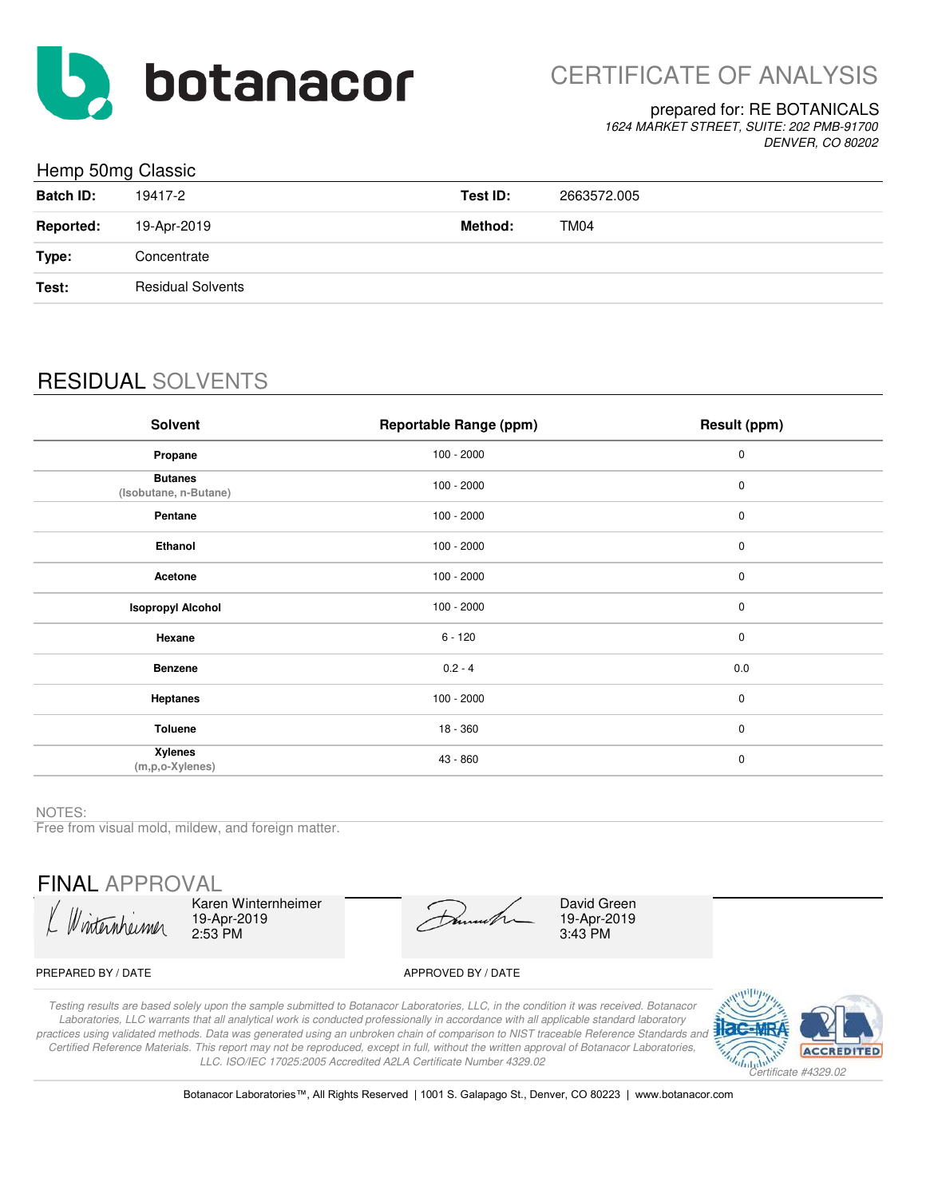

#### prepared for: RE BOTANICALS

*1624 MARKET STREET, SUITE: 202 PMB-91700 DENVER, CO 80202*

### Hemp 50mg Classic

|                  | ັ                        |          |             |
|------------------|--------------------------|----------|-------------|
| <b>Batch ID:</b> | 19417-2                  | Test ID: | 2663572.005 |
| <b>Reported:</b> | 19-Apr-2019              | Method:  | TM04        |
| Type:            | Concentrate              |          |             |
| Test:            | <b>Residual Solvents</b> |          |             |
|                  |                          |          |             |

# RESIDUAL SOLVENTS

| Solvent                                   | <b>Reportable Range (ppm)</b> | Result (ppm) |
|-------------------------------------------|-------------------------------|--------------|
| Propane                                   | $100 - 2000$                  | $\pmb{0}$    |
| <b>Butanes</b><br>(Isobutane, n-Butane)   | $100 - 2000$                  | $\pmb{0}$    |
| Pentane                                   | $100 - 2000$                  | $\pmb{0}$    |
| Ethanol                                   | $100 - 2000$                  | $\pmb{0}$    |
| Acetone                                   | $100 - 2000$                  | $\pmb{0}$    |
| <b>Isopropyl Alcohol</b>                  | $100 - 2000$                  | $\pmb{0}$    |
| Hexane                                    | $6 - 120$                     | $\mathbf 0$  |
| <b>Benzene</b>                            | $0.2 - 4$                     | 0.0          |
| <b>Heptanes</b>                           | $100 - 2000$                  | $\mathbf 0$  |
| <b>Toluene</b>                            | 18 - 360                      | $\mathbf 0$  |
| <b>Xylenes</b><br>$(m, p, o-X$ ylenes $)$ | 43 - 860                      | $\pmb{0}$    |

NOTES:

Free from visual mold, mildew, and foreign matter.

FINAL APPROVAL

Raren Winter<br>19-Apr-2019<br>2.53 PM

Karen Winternheimer 2:53 PM

David Green 19-Apr-2019 3:43 PM

#### PREPARED BY / DATE APPROVED BY / DATE

*Testing results are based solely upon the sample submitted to Botanacor Laboratories, LLC, in the condition it was received. Botanacor Laboratories, LLC warrants that all analytical work is conducted professionally in accordance with all applicable standard laboratory practices using validated methods. Data was generated using an unbroken chain of comparison to NIST traceable Reference Standards and Certified Reference Materials. This report may not be reproduced, except in full, without the written approval of Botanacor Laboratories, LLC. ISO/IEC 17025:2005 Accredited A2LA Certificate Number 4329.02*



Botanacor Laboratories™, All Rights Reserved | 1001 S. Galapago St., Denver, CO 80223 | www.botanacor.com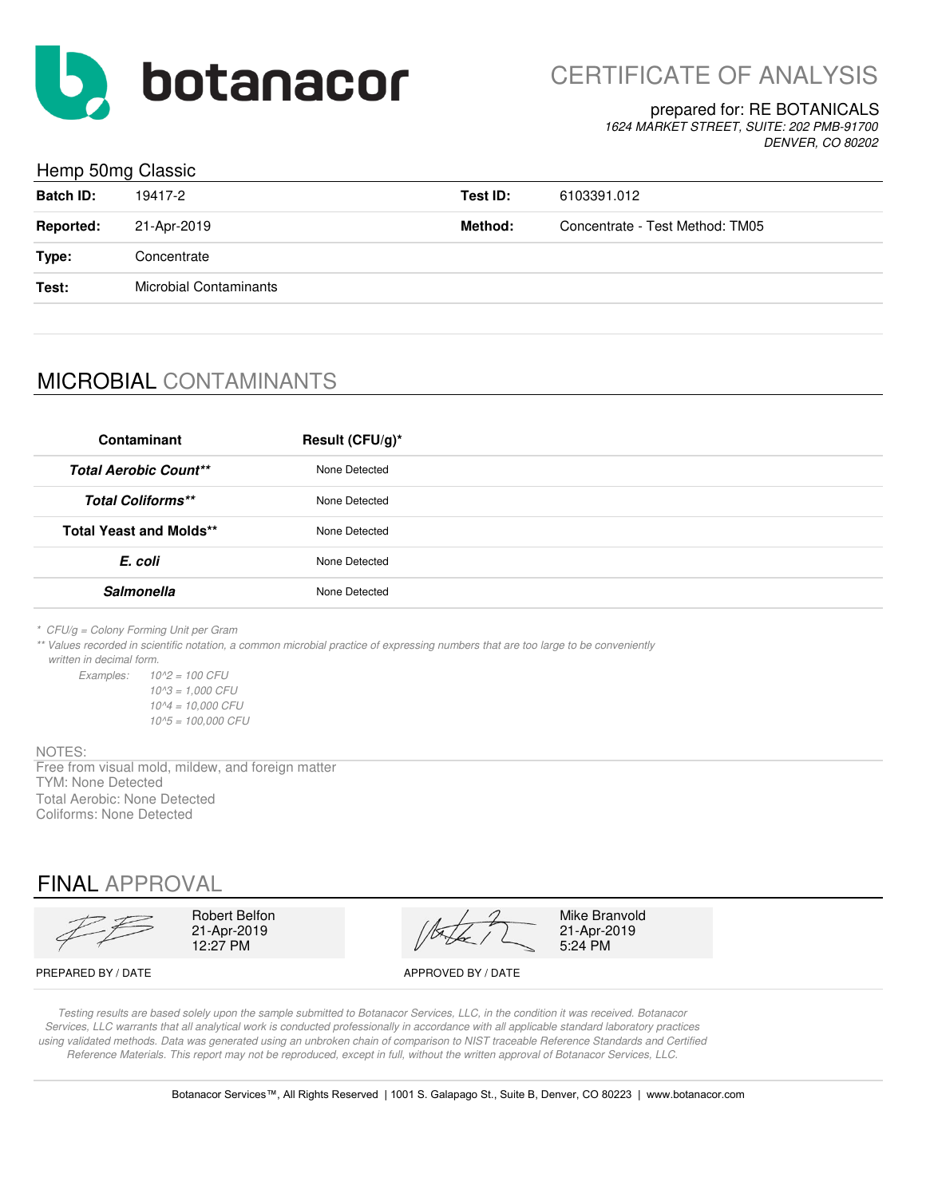

CERTIFICATE OF ANALYSIS

#### prepared for: RE BOTANICALS

*1624 MARKET STREET, SUITE: 202 PMB-91700 DENVER, CO 80202*

### Hemp 50mg Classic

| <b>Batch ID:</b> | 19417-2                       | Test ID: | 6103391.012                     |
|------------------|-------------------------------|----------|---------------------------------|
| <b>Reported:</b> | 21-Apr-2019                   | Method:  | Concentrate - Test Method: TM05 |
| Type:            | Concentrate                   |          |                                 |
| Test:            | <b>Microbial Contaminants</b> |          |                                 |
|                  |                               |          |                                 |

# MICROBIAL CONTAMINANTS

| Contaminant                    | Result (CFU/g)* |
|--------------------------------|-----------------|
| <b>Total Aerobic Count**</b>   | None Detected   |
| <b>Total Coliforms**</b>       | None Detected   |
| <b>Total Yeast and Molds**</b> | None Detected   |
| E. coli                        | None Detected   |
| <b>Salmonella</b>              | None Detected   |

*\* CFU/g = Colony Forming Unit per Gram*

*\*\* Values recorded in scientific notation, a common microbial practice of expressing numbers that are too large to be conveniently written in decimal form.*

*Examples: 10^2 = 100 CFU 10^3 = 1,000 CFU 10^4 = 10,000 CFU 10^5 = 100,000 CFU*

#### NOTES:

Free from visual mold, mildew, and foreign matter TYM: None Detected Total Aerobic: None Detected Coliforms: None Detected

## FINAL APPROVAL

 $12:27$  PM 21-Apr-2019

Robert Belfon  $\sqrt{2}$  Mike Branvold

21-Apr-2019<br>5:24 PM

PREPARED BY / DATE APPROVED BY / DATE

*Testing results are based solely upon the sample submitted to Botanacor Services, LLC, in the condition it was received. Botanacor Services, LLC warrants that all analytical work is conducted professionally in accordance with all applicable standard laboratory practices using validated methods. Data was generated using an unbroken chain of comparison to NIST traceable Reference Standards and Certified Reference Materials. This report may not be reproduced, except in full, without the written approval of Botanacor Services, LLC.*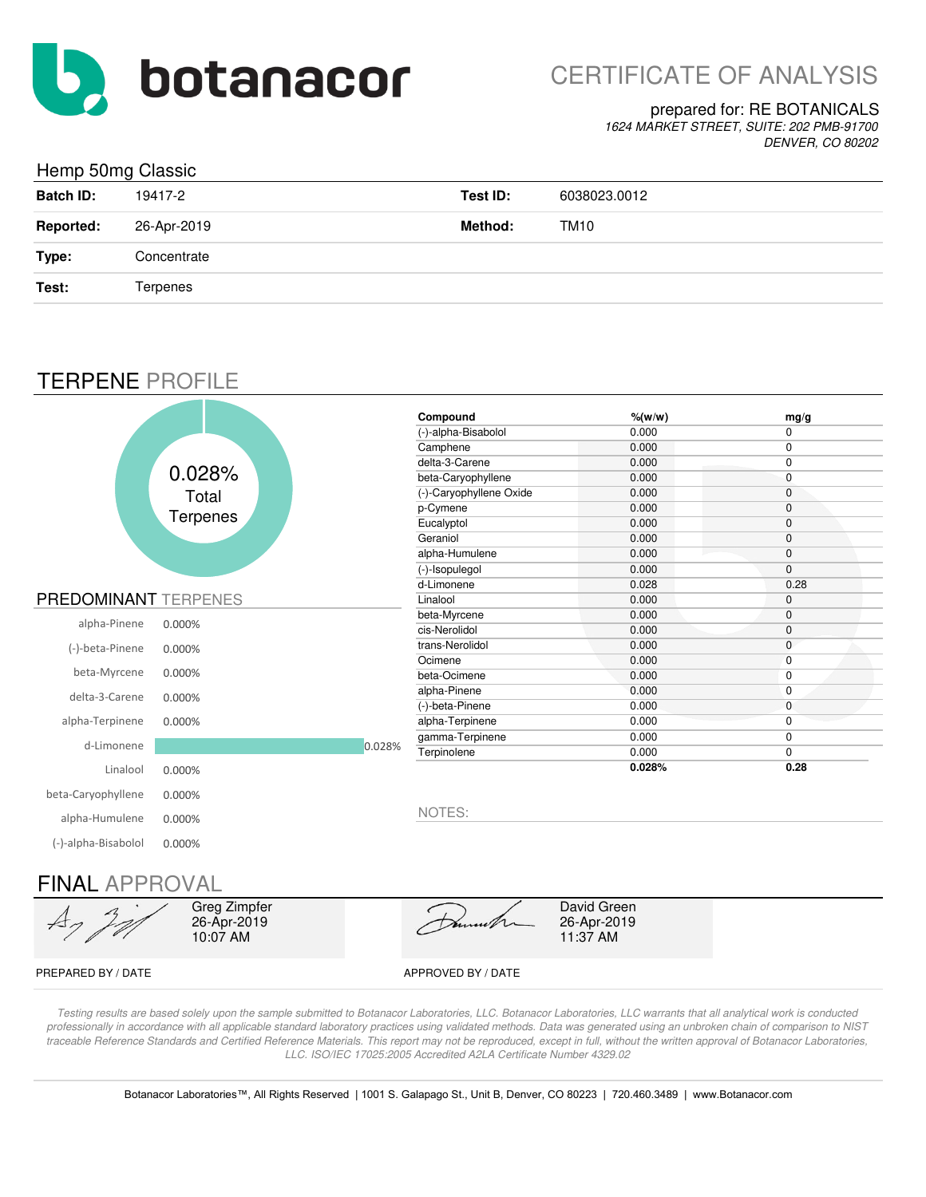

# CERTIFICATE OF ANALYSIS

### prepared for: RE BOTANICALS

*1624 MARKET STREET, SUITE: 202 PMB-91700 DENVER, CO 80202*

### Hemp 50mg Classic

| and the contract of the contract of the contract of the contract of the contract of the contract of the contract of<br><b>Batch ID:</b> | 19417-2     | Test ID: | 6038023.0012 |
|-----------------------------------------------------------------------------------------------------------------------------------------|-------------|----------|--------------|
| <b>Reported:</b>                                                                                                                        | 26-Apr-2019 | Method:  | TM10         |
| Type:                                                                                                                                   | Concentrate |          |              |
| Test:                                                                                                                                   | Terpenes    |          |              |

## TERPENE PROFILE

|                             |          |        | Compound                | $%$ (w/w) | mg/g         |
|-----------------------------|----------|--------|-------------------------|-----------|--------------|
|                             |          |        | (-)-alpha-Bisabolol     | 0.000     | 0            |
|                             |          |        | Camphene                | 0.000     | 0            |
|                             |          |        | delta-3-Carene          | 0.000     | 0            |
|                             | 0.028%   |        | beta-Caryophyllene      | 0.000     | $\mathbf 0$  |
|                             | Total    |        | (-)-Caryophyllene Oxide | 0.000     | 0            |
|                             |          |        | p-Cymene                | 0.000     | 0            |
|                             | Terpenes |        | Eucalyptol              | 0.000     | 0            |
|                             |          |        | Geraniol                | 0.000     | 0            |
|                             |          |        | alpha-Humulene          | 0.000     | 0            |
|                             |          |        | (-)-Isopulegol          | 0.000     | 0            |
|                             |          |        | d-Limonene              | 0.028     | 0.28         |
| <b>PREDOMINANT TERPENES</b> |          |        | Linalool                | 0.000     | 0            |
| alpha-Pinene                |          |        | beta-Myrcene            | 0.000     | $\mathbf{0}$ |
|                             | 0.000%   |        | cis-Nerolidol           | 0.000     | 0            |
| (-)-beta-Pinene             | 0.000%   |        | trans-Nerolidol         | 0.000     | 0            |
|                             |          |        | Ocimene                 | 0.000     | $\mathbf 0$  |
| beta-Myrcene                | 0.000%   |        | beta-Ocimene            | 0.000     | 0            |
| delta-3-Carene              | 0.000%   |        | alpha-Pinene            | 0.000     | $\mathbf 0$  |
|                             |          |        | (-)-beta-Pinene         | 0.000     | $\mathbf 0$  |
| alpha-Terpinene             | 0.000%   |        | alpha-Terpinene         | 0.000     | $\mathbf 0$  |
| d-Limonene                  |          | 0.028% | gamma-Terpinene         | 0.000     | 0            |
|                             |          |        | Terpinolene             | 0.000     | $\mathbf 0$  |
| Linalool                    | 0.000%   |        |                         | 0.028%    | 0.28         |
| beta-Caryophyllene          | 0.000%   |        |                         |           |              |
| alpha-Humulene              | 0.000%   |        | NOTES:                  |           |              |
| (-)-alpha-Bisabolol         | 0.000%   |        |                         |           |              |

## FINAL APPROVAL



*Testing results are based solely upon the sample submitted to Botanacor Laboratories, LLC. Botanacor Laboratories, LLC warrants that all analytical work is conducted professionally in accordance with all applicable standard laboratory practices using validated methods. Data was generated using an unbroken chain of comparison to NIST*  traceable Reference Standards and Certified Reference Materials. This report may not be reproduced, except in full, without the written approval of Botanacor Laboratories, *LLC. ISO/IEC 17025:2005 Accredited A2LA Certificate Number 4329.02*

Botanacor Laboratories™, All Rights Reserved | 1001 S. Galapago St., Unit B, Denver, CO 80223 | 720.460.3489 | www.Botanacor.com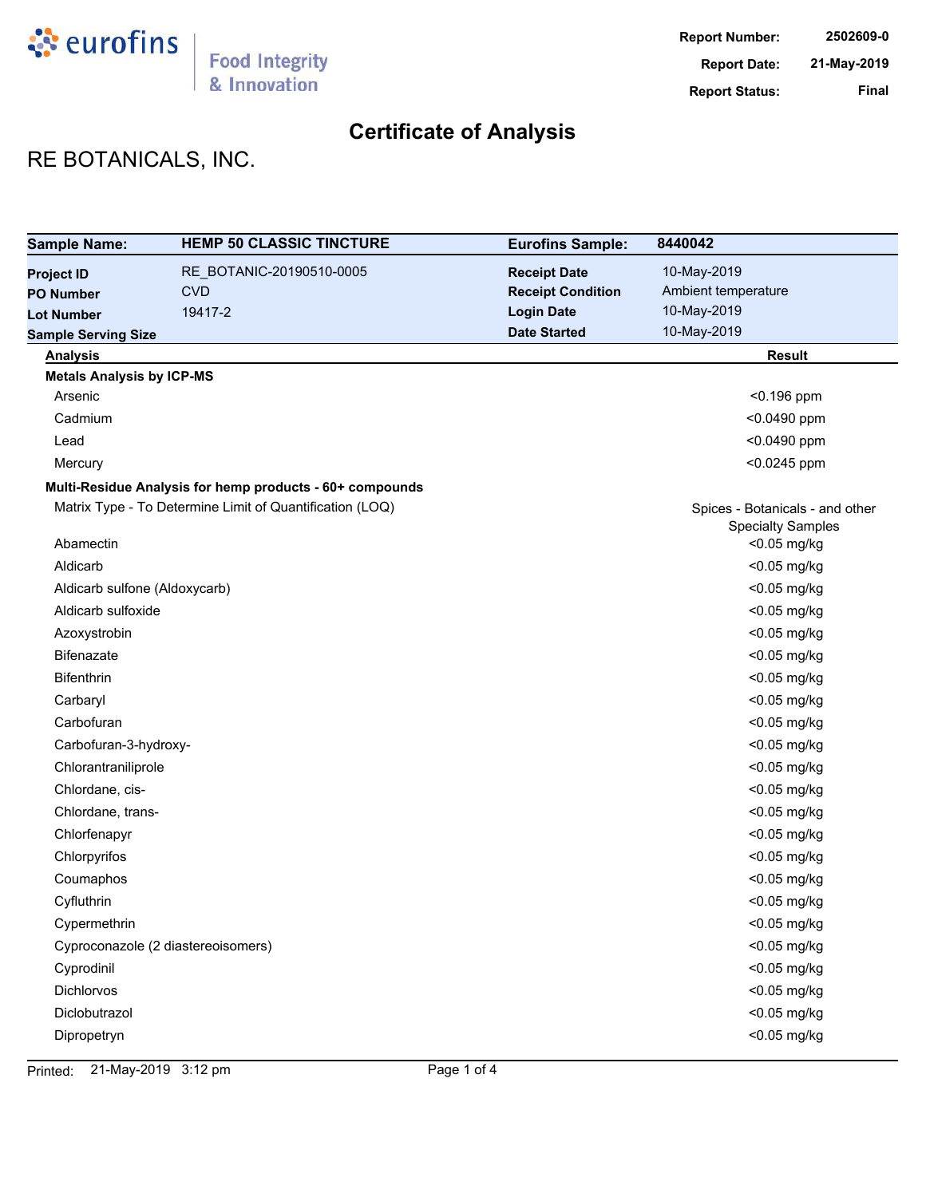

# RE BOTANICALS, INC.

| <b>Sample Name:</b>              | <b>HEMP 50 CLASSIC TINCTURE</b>                          | <b>Eurofins Sample:</b>  | 8440042                                                     |
|----------------------------------|----------------------------------------------------------|--------------------------|-------------------------------------------------------------|
| <b>Project ID</b>                | RE_BOTANIC-20190510-0005                                 | <b>Receipt Date</b>      | 10-May-2019                                                 |
| <b>PO Number</b>                 | <b>CVD</b>                                               | <b>Receipt Condition</b> | Ambient temperature                                         |
| <b>Lot Number</b>                | 19417-2                                                  | <b>Login Date</b>        | 10-May-2019                                                 |
| <b>Sample Serving Size</b>       |                                                          | <b>Date Started</b>      | 10-May-2019                                                 |
| <b>Analysis</b>                  |                                                          |                          | <b>Result</b>                                               |
| <b>Metals Analysis by ICP-MS</b> |                                                          |                          |                                                             |
| Arsenic                          |                                                          |                          | $< 0.196$ ppm                                               |
| Cadmium                          |                                                          |                          | <0.0490 ppm                                                 |
| Lead                             |                                                          |                          | <0.0490 ppm                                                 |
| Mercury                          |                                                          |                          | <0.0245 ppm                                                 |
|                                  | Multi-Residue Analysis for hemp products - 60+ compounds |                          |                                                             |
|                                  | Matrix Type - To Determine Limit of Quantification (LOQ) |                          | Spices - Botanicals - and other<br><b>Specialty Samples</b> |
| Abamectin                        |                                                          |                          | <0.05 mg/kg                                                 |
| Aldicarb                         |                                                          |                          | <0.05 mg/kg                                                 |
| Aldicarb sulfone (Aldoxycarb)    |                                                          |                          | <0.05 mg/kg                                                 |
| Aldicarb sulfoxide               |                                                          |                          | <0.05 mg/kg                                                 |
| Azoxystrobin                     |                                                          |                          | <0.05 mg/kg                                                 |
| Bifenazate                       |                                                          |                          | <0.05 mg/kg                                                 |
| Bifenthrin                       |                                                          |                          | <0.05 mg/kg                                                 |
| Carbaryl                         |                                                          |                          | <0.05 mg/kg                                                 |
| Carbofuran                       |                                                          |                          | <0.05 mg/kg                                                 |
| Carbofuran-3-hydroxy-            |                                                          |                          | <0.05 mg/kg                                                 |
| Chlorantraniliprole              |                                                          |                          | <0.05 mg/kg                                                 |
| Chlordane, cis-                  |                                                          |                          | <0.05 mg/kg                                                 |
| Chlordane, trans-                |                                                          |                          | <0.05 mg/kg                                                 |
| Chlorfenapyr                     |                                                          |                          | <0.05 mg/kg                                                 |
| Chlorpyrifos                     |                                                          |                          | <0.05 mg/kg                                                 |
| Coumaphos                        |                                                          |                          | <0.05 mg/kg                                                 |
| Cyfluthrin                       |                                                          |                          | <0.05 mg/kg                                                 |
| Cypermethrin                     |                                                          |                          | <0.05 mg/kg                                                 |
|                                  | Cyproconazole (2 diastereoisomers)                       |                          | <0.05 mg/kg                                                 |
| Cyprodinil                       |                                                          |                          | <0.05 mg/kg                                                 |
| Dichlorvos                       |                                                          |                          | <0.05 mg/kg                                                 |
| Diclobutrazol                    |                                                          |                          | <0.05 mg/kg                                                 |
| Dipropetryn                      |                                                          |                          | <0.05 mg/kg                                                 |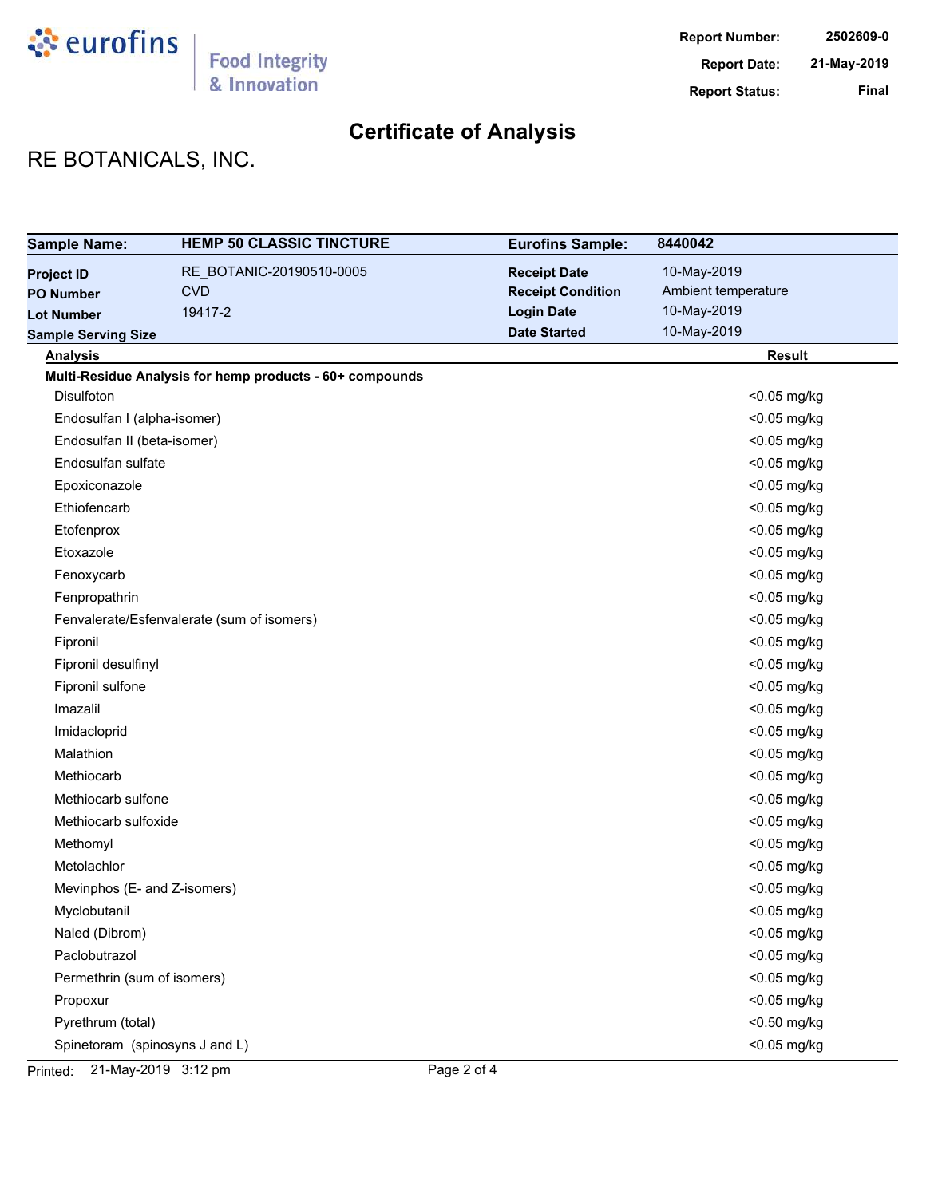

# RE BOTANICALS, INC.

| <b>Sample Name:</b>            | <b>HEMP 50 CLASSIC TINCTURE</b>                          | <b>Eurofins Sample:</b>  | 8440042             |
|--------------------------------|----------------------------------------------------------|--------------------------|---------------------|
| <b>Project ID</b>              | RE_BOTANIC-20190510-0005                                 | <b>Receipt Date</b>      | 10-May-2019         |
| <b>PO Number</b>               | <b>CVD</b>                                               | <b>Receipt Condition</b> | Ambient temperature |
| <b>Lot Number</b>              | 19417-2                                                  | <b>Login Date</b>        | 10-May-2019         |
| <b>Sample Serving Size</b>     |                                                          | <b>Date Started</b>      | 10-May-2019         |
| <b>Analysis</b>                |                                                          |                          | <b>Result</b>       |
|                                | Multi-Residue Analysis for hemp products - 60+ compounds |                          |                     |
| Disulfoton                     |                                                          |                          | <0.05 mg/kg         |
| Endosulfan I (alpha-isomer)    |                                                          |                          | <0.05 mg/kg         |
| Endosulfan II (beta-isomer)    |                                                          |                          | <0.05 mg/kg         |
| Endosulfan sulfate             |                                                          |                          | <0.05 mg/kg         |
| Epoxiconazole                  |                                                          |                          | <0.05 mg/kg         |
| Ethiofencarb                   |                                                          |                          | <0.05 mg/kg         |
| Etofenprox                     |                                                          |                          | <0.05 mg/kg         |
| Etoxazole                      |                                                          |                          | <0.05 mg/kg         |
| Fenoxycarb                     |                                                          |                          | <0.05 mg/kg         |
| Fenpropathrin                  |                                                          |                          | <0.05 mg/kg         |
|                                | Fenvalerate/Esfenvalerate (sum of isomers)               |                          | <0.05 mg/kg         |
| Fipronil                       |                                                          |                          | <0.05 mg/kg         |
| Fipronil desulfinyl            |                                                          |                          | <0.05 mg/kg         |
| Fipronil sulfone               |                                                          |                          | <0.05 mg/kg         |
| Imazalil                       |                                                          |                          | <0.05 mg/kg         |
| Imidacloprid                   |                                                          |                          | <0.05 mg/kg         |
| Malathion                      |                                                          |                          | <0.05 mg/kg         |
| Methiocarb                     |                                                          |                          | <0.05 mg/kg         |
| Methiocarb sulfone             |                                                          |                          | <0.05 mg/kg         |
| Methiocarb sulfoxide           |                                                          |                          | <0.05 mg/kg         |
| Methomyl                       |                                                          |                          | <0.05 mg/kg         |
| Metolachlor                    |                                                          |                          | <0.05 mg/kg         |
| Mevinphos (E- and Z-isomers)   |                                                          |                          | <0.05 mg/kg         |
| Myclobutanil                   |                                                          |                          | <0.05 mg/kg         |
| Naled (Dibrom)                 |                                                          |                          | <0.05 mg/kg         |
| Paclobutrazol                  |                                                          |                          | <0.05 mg/kg         |
| Permethrin (sum of isomers)    |                                                          |                          | <0.05 mg/kg         |
| Propoxur                       |                                                          |                          | <0.05 mg/kg         |
| Pyrethrum (total)              |                                                          |                          | <0.50 mg/kg         |
| Spinetoram (spinosyns J and L) |                                                          |                          | <0.05 mg/kg         |

Printed: 21-May-2019 3:12 pm Page 2 of 4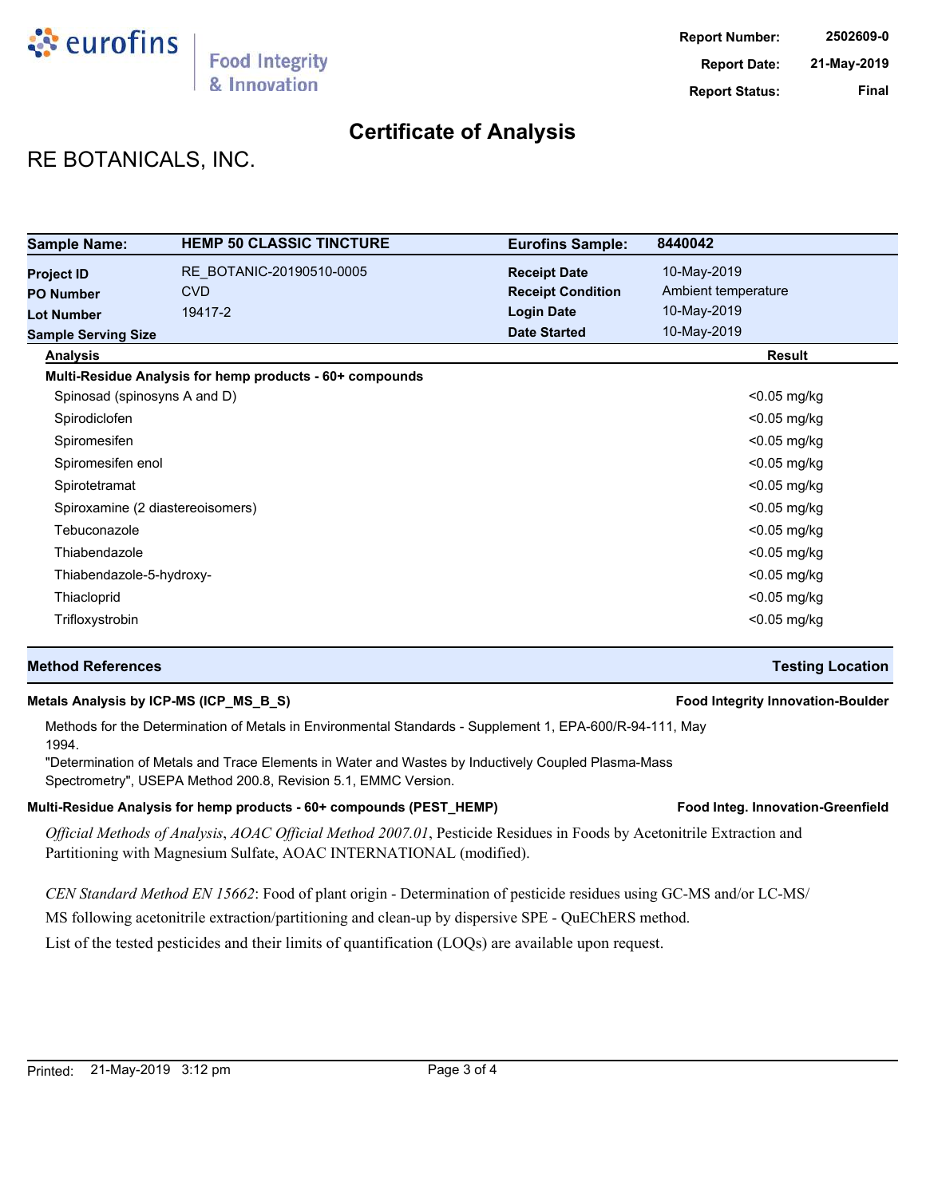

# RE BOTANICALS, INC.

| <b>Sample Name:</b>              | <b>HEMP 50 CLASSIC TINCTURE</b>                          | <b>Eurofins Sample:</b>  | 8440042             |
|----------------------------------|----------------------------------------------------------|--------------------------|---------------------|
| <b>Project ID</b>                | RE BOTANIC-20190510-0005                                 | <b>Receipt Date</b>      | 10-May-2019         |
| <b>PO Number</b>                 | <b>CVD</b>                                               | <b>Receipt Condition</b> | Ambient temperature |
| <b>Lot Number</b>                | 19417-2                                                  | <b>Login Date</b>        | 10-May-2019         |
| <b>Sample Serving Size</b>       |                                                          | <b>Date Started</b>      | 10-May-2019         |
| <b>Analysis</b>                  |                                                          |                          | <b>Result</b>       |
|                                  | Multi-Residue Analysis for hemp products - 60+ compounds |                          |                     |
| Spinosad (spinosyns A and D)     |                                                          |                          | $<$ 0.05 mg/kg      |
| Spirodiclofen                    |                                                          |                          | <0.05 mg/kg         |
| Spiromesifen                     |                                                          |                          | <0.05 mg/kg         |
| Spiromesifen enol                |                                                          |                          | $<$ 0.05 mg/kg      |
| Spirotetramat                    |                                                          |                          | $<$ 0.05 mg/kg      |
| Spiroxamine (2 diastereoisomers) |                                                          |                          | $<$ 0.05 mg/kg      |
| Tebuconazole                     |                                                          |                          | <0.05 mg/kg         |
| Thiabendazole                    |                                                          |                          | $<$ 0.05 mg/kg      |
| Thiabendazole-5-hydroxy-         |                                                          |                          | <0.05 mg/kg         |
| Thiacloprid                      |                                                          |                          | $<$ 0.05 mg/kg      |
| Trifloxystrobin                  |                                                          |                          | $<$ 0.05 mg/kg      |

### **Method References Testing Location**

#### **Metals Analysis by ICP-MS (ICP\_MS\_B\_S) Food Integrity Innovation-Boulder**

### Methods for the Determination of Metals in Environmental Standards - Supplement 1, EPA-600/R-94-111, May 1994.

"Determination of Metals and Trace Elements in Water and Wastes by Inductively Coupled Plasma-Mass Spectrometry", USEPA Method 200.8, Revision 5.1, EMMC Version.

#### Multi-Residue Analysis for hemp products - 60+ compounds (PEST\_HEMP) **Food Integ. Innovation-Greenfield**

*Official Methods of Analysis*, *AOAC Official Method 2007.01*, Pesticide Residues in Foods by Acetonitrile Extraction and Partitioning with Magnesium Sulfate, AOAC INTERNATIONAL (modified).

*CEN Standard Method EN 15662*: Food of plant origin - Determination of pesticide residues using GC-MS and/or LC-MS/

MS following acetonitrile extraction/partitioning and clean-up by dispersive SPE - QuEChERS method.

List of the tested pesticides and their limits of quantification (LOQs) are available upon request.